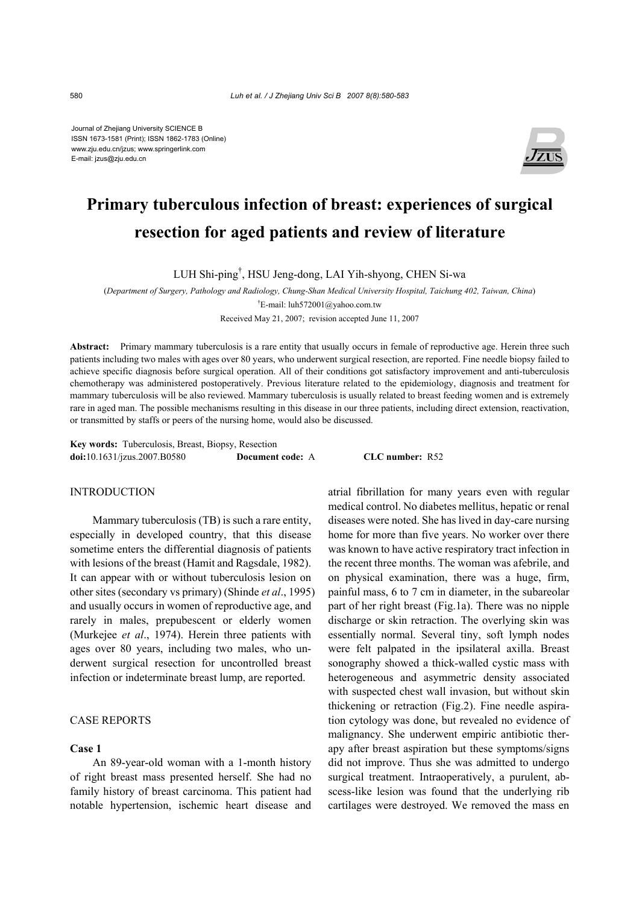Journal of Zhejiang University SCIENCE B ISSN 1673-1581 (Print); ISSN 1862-1783 (Online) www.zju.edu.cn/jzus; www.springerlink.com E-mail: jzus@zju.edu.cn



# **Primary tuberculous infection of breast: experiences of surgical resection for aged patients and review of literature**

LUH Shi-ping† , HSU Jeng-dong, LAI Yih-shyong, CHEN Si-wa

(*Department of Surgery, Pathology and Radiology, Chung-Shan Medical University Hospital, Taichung 402, Taiwan, China*)

† E-mail: luh572001@yahoo.com.tw

Received May 21, 2007; revision accepted June 11, 2007

**Abstract:** Primary mammary tuberculosis is a rare entity that usually occurs in female of reproductive age. Herein three such patients including two males with ages over 80 years, who underwent surgical resection, are reported. Fine needle biopsy failed to achieve specific diagnosis before surgical operation. All of their conditions got satisfactory improvement and anti-tuberculosis chemotherapy was administered postoperatively. Previous literature related to the epidemiology, diagnosis and treatment for mammary tuberculosis will be also reviewed. Mammary tuberculosis is usually related to breast feeding women and is extremely rare in aged man. The possible mechanisms resulting in this disease in our three patients, including direct extension, reactivation, or transmitted by staffs or peers of the nursing home, would also be discussed.

**Key words:** Tuberculosis, Breast, Biopsy, Resection **doi:**10.1631/jzus.2007.B0580 **Document code:** A **CLC number:** R52

## INTRODUCTION

Mammary tuberculosis (TB) is such a rare entity, especially in developed country, that this disease sometime enters the differential diagnosis of patients with lesions of the breast (Hamit and Ragsdale, 1982). It can appear with or without tuberculosis lesion on other sites (secondary vs primary) (Shinde *et al*., 1995) and usually occurs in women of reproductive age, and rarely in males, prepubescent or elderly women (Murkejee *et al*., 1974). Herein three patients with ages over 80 years, including two males, who underwent surgical resection for uncontrolled breast infection or indeterminate breast lump, are reported.

## CASE REPORTS

## **Case 1**

An 89-year-old woman with a 1-month history of right breast mass presented herself. She had no family history of breast carcinoma. This patient had notable hypertension, ischemic heart disease and atrial fibrillation for many years even with regular medical control. No diabetes mellitus, hepatic or renal diseases were noted. She has lived in day-care nursing home for more than five years. No worker over there was known to have active respiratory tract infection in the recent three months. The woman was afebrile, and on physical examination, there was a huge, firm, painful mass, 6 to 7 cm in diameter, in the subareolar part of her right breast (Fig.1a). There was no nipple discharge or skin retraction. The overlying skin was essentially normal. Several tiny, soft lymph nodes were felt palpated in the ipsilateral axilla. Breast sonography showed a thick-walled cystic mass with heterogeneous and asymmetric density associated with suspected chest wall invasion, but without skin thickening or retraction (Fig.2). Fine needle aspiration cytology was done, but revealed no evidence of malignancy. She underwent empiric antibiotic therapy after breast aspiration but these symptoms/signs did not improve. Thus she was admitted to undergo surgical treatment. Intraoperatively, a purulent, abscess-like lesion was found that the underlying rib cartilages were destroyed. We removed the mass en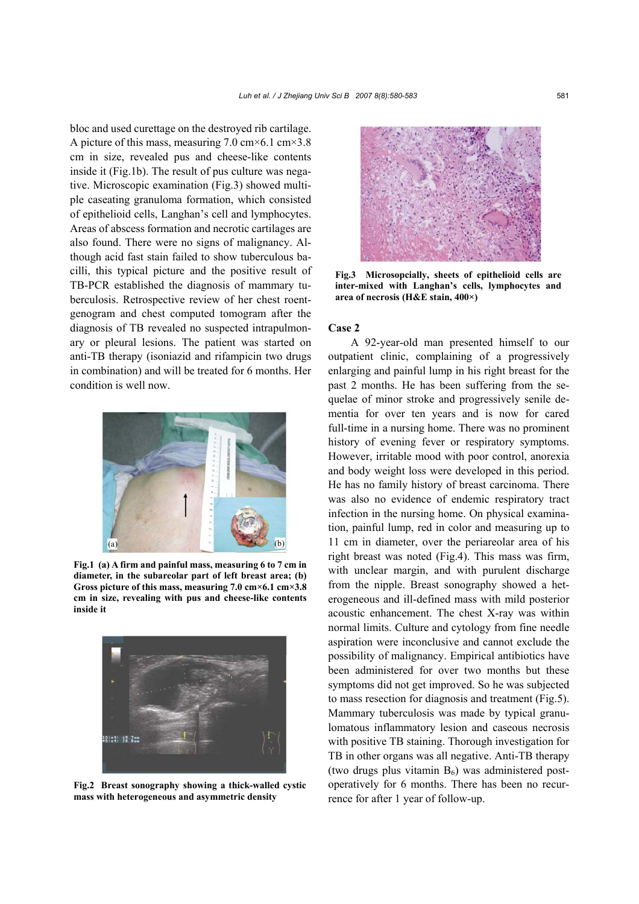bloc and used curettage on the destroyed rib cartilage. A picture of this mass, measuring  $7.0 \text{ cm} \times 6.1 \text{ cm} \times 3.8$ cm in size, revealed pus and cheese-like contents inside it (Fig.1b). The result of pus culture was negative. Microscopic examination (Fig.3) showed multiple caseating granuloma formation, which consisted of epithelioid cells, Langhan's cell and lymphocytes. Areas of abscess formation and necrotic cartilages are also found. There were no signs of malignancy. Although acid fast stain failed to show tuberculous bacilli, this typical picture and the positive result of TB-PCR established the diagnosis of mammary tuberculosis. Retrospective review of her chest roentgenogram and chest computed tomogram after the diagnosis of TB revealed no suspected intrapulmonary or pleural lesions. The patient was started on anti-TB therapy (isoniazid and rifampicin two drugs in combination) and will be treated for 6 months. Her condition is well now.



**Fig.1 (a) A firm and painful mass, measuring 6 to 7 cm in diameter, in the subareolar part of left breast area; (b) Gross picture of this mass, measuring 7.0 cm×6.1 cm×3.8 cm in size, revealing with pus and cheese-like contents inside it**



**Fig.2 Breast sonography showing a thick-walled cystic mass with heterogeneous and asymmetric density**



**Fig.3 Microsopcially, sheets of epithelioid cells are inter-mixed with Langhan's cells, lymphocytes and area of necrosis (H&E stain, 400×)**

### **Case 2**

A 92-year-old man presented himself to our outpatient clinic, complaining of a progressively enlarging and painful lump in his right breast for the past 2 months. He has been suffering from the sequelae of minor stroke and progressively senile dementia for over ten years and is now for cared full-time in a nursing home. There was no prominent history of evening fever or respiratory symptoms. However, irritable mood with poor control, anorexia and body weight loss were developed in this period. He has no family history of breast carcinoma. There was also no evidence of endemic respiratory tract infection in the nursing home. On physical examination, painful lump, red in color and measuring up to 11 cm in diameter, over the periareolar area of his right breast was noted (Fig.4). This mass was firm, with unclear margin, and with purulent discharge from the nipple. Breast sonography showed a heterogeneous and ill-defined mass with mild posterior acoustic enhancement. The chest X-ray was within normal limits. Culture and cytology from fine needle aspiration were inconclusive and cannot exclude the possibility of malignancy. Empirical antibiotics have been administered for over two months but these symptoms did not get improved. So he was subjected to mass resection for diagnosis and treatment (Fig.5). Mammary tuberculosis was made by typical granulomatous inflammatory lesion and caseous necrosis with positive TB staining. Thorough investigation for TB in other organs was all negative. Anti-TB therapy (two drugs plus vitamin  $B_6$ ) was administered postoperatively for 6 months. There has been no recurrence for after 1 year of follow-up.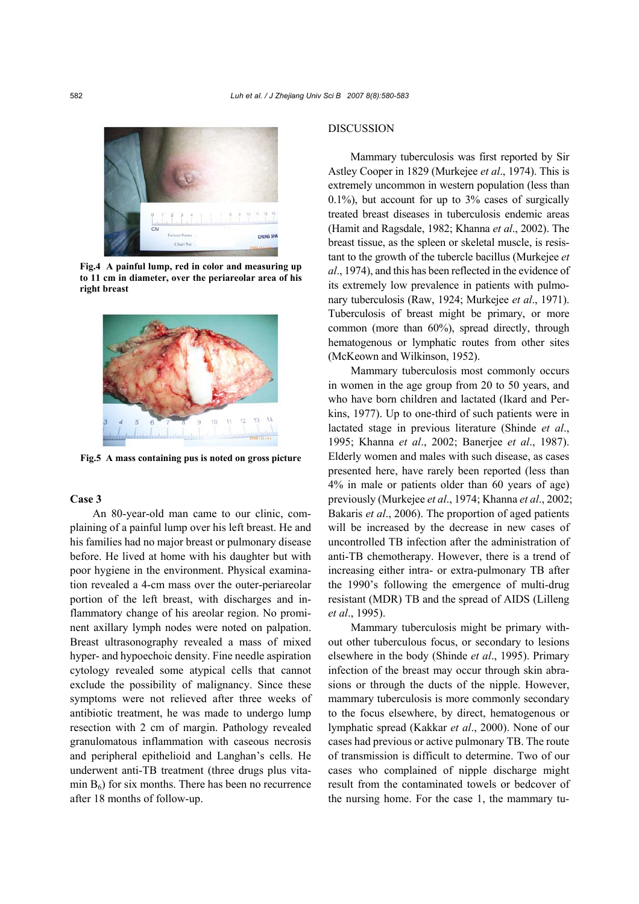

**Fig.4 A painful lump, red in color and measuring up to 11 cm in diameter, over the periareolar area of his right breast**



**Fig.5 A mass containing pus is noted on gross picture**

## **Case 3**

An 80-year-old man came to our clinic, complaining of a painful lump over his left breast. He and his families had no major breast or pulmonary disease before. He lived at home with his daughter but with poor hygiene in the environment. Physical examination revealed a 4-cm mass over the outer-periareolar portion of the left breast, with discharges and inflammatory change of his areolar region. No prominent axillary lymph nodes were noted on palpation. Breast ultrasonography revealed a mass of mixed hyper- and hypoechoic density. Fine needle aspiration cytology revealed some atypical cells that cannot exclude the possibility of malignancy. Since these symptoms were not relieved after three weeks of antibiotic treatment, he was made to undergo lump resection with 2 cm of margin. Pathology revealed granulomatous inflammation with caseous necrosis and peripheral epithelioid and Langhan's cells. He underwent anti-TB treatment (three drugs plus vitamin  $B_6$ ) for six months. There has been no recurrence after 18 months of follow-up.

## DISCUSSION

Mammary tuberculosis was first reported by Sir Astley Cooper in 1829 (Murkejee *et al*., 1974). This is extremely uncommon in western population (less than 0.1%), but account for up to 3% cases of surgically treated breast diseases in tuberculosis endemic areas (Hamit and Ragsdale, 1982; Khanna *et al*., 2002). The breast tissue, as the spleen or skeletal muscle, is resistant to the growth of the tubercle bacillus (Murkejee *et al*., 1974), and this has been reflected in the evidence of its extremely low prevalence in patients with pulmonary tuberculosis (Raw, 1924; Murkejee *et al*., 1971). Tuberculosis of breast might be primary, or more common (more than 60%), spread directly, through hematogenous or lymphatic routes from other sites (McKeown and Wilkinson, 1952).

Mammary tuberculosis most commonly occurs in women in the age group from 20 to 50 years, and who have born children and lactated (Ikard and Perkins, 1977). Up to one-third of such patients were in lactated stage in previous literature (Shinde *et al*., 1995; Khanna *et al*., 2002; Banerjee *et al*., 1987). Elderly women and males with such disease, as cases presented here, have rarely been reported (less than 4% in male or patients older than 60 years of age) previously (Murkejee *et al*., 1974; Khanna *et al*., 2002; Bakaris *et al*., 2006). The proportion of aged patients will be increased by the decrease in new cases of uncontrolled TB infection after the administration of anti-TB chemotherapy. However, there is a trend of increasing either intra- or extra-pulmonary TB after the 1990's following the emergence of multi-drug resistant (MDR) TB and the spread of AIDS (Lilleng *et al*., 1995).

Mammary tuberculosis might be primary without other tuberculous focus, or secondary to lesions elsewhere in the body (Shinde *et al*., 1995). Primary infection of the breast may occur through skin abrasions or through the ducts of the nipple. However, mammary tuberculosis is more commonly secondary to the focus elsewhere, by direct, hematogenous or lymphatic spread (Kakkar *et al*., 2000). None of our cases had previous or active pulmonary TB. The route of transmission is difficult to determine. Two of our cases who complained of nipple discharge might result from the contaminated towels or bedcover of the nursing home. For the case 1, the mammary tu